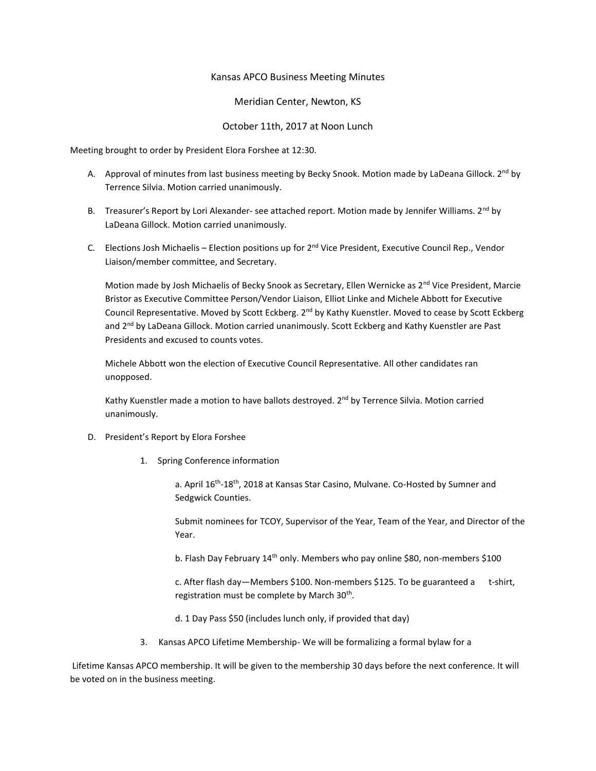## Kansas APCO Business Meeting Minutes

Meridian Center, Newton, KS

October 11th, 2017 at Noon Lunch

Meeting brought to order by President Elora Forshee at 12:30.

- A. Approval of minutes from last business meeting by Becky Snook. Motion made by LaDeana Gillock. 2<sup>nd</sup> by Terrence Silvia. Motion carried unanimously.
- B. Treasurer's Report by Lori Alexander- see attached report. Motion made by Jennifer Williams. 2<sup>nd</sup> by LaDeana Gillock. Motion carried unanimously.
- C. Elections Josh Michaelis Election positions up for  $2^{nd}$  Vice President, Executive Council Rep., Vendor Liaison/member committee, and Secretary.

Motion made by Josh Michaelis of Becky Snook as Secretary, Ellen Wernicke as 2<sup>nd</sup> Vice President, Marcie Bristor as Executive Committee Person/Vendor Liaison, Elliot Linke and Michele Abbott for Executive Council Representative. Moved by Scott Eckberg. 2<sup>nd</sup> by Kathy Kuenstler. Moved to cease by Scott Eckberg and 2<sup>nd</sup> by LaDeana Gillock. Motion carried unanimously. Scott Eckberg and Kathy Kuenstler are Past Presidents and excused to counts votes.

Michele Abbott won the election of Executive Council Representative. All other candidates ran unopposed.

Kathy Kuenstler made a motion to have ballots destroyed. 2<sup>nd</sup> by Terrence Silvia. Motion carried unanimously.

- D. President's Report by Elora Forshee
	- 1. Spring Conference information

a. April 16<sup>th</sup>-18<sup>th</sup>, 2018 at Kansas Star Casino, Mulvane. Co-Hosted by Sumner and Sedgwick Counties.

Submit nominees for TCOY, Supervisor of the Year, Team of the Year, and Director of the Year.

b. Flash Day February 14<sup>th</sup> only. Members who pay online \$80, non-members \$100

c. After flash day—Members \$100. Non-members \$125. To be guaranteed a t-shirt, registration must be complete by March 30<sup>th</sup>.

d. 1 Day Pass \$50 (includes lunch only, if provided that day)

3. Kansas APCO Lifetime Membership- We will be formalizing a formal bylaw for a

Lifetime Kansas APCO membership. It will be given to the membership 30 days before the next conference. It will be voted on in the business meeting.